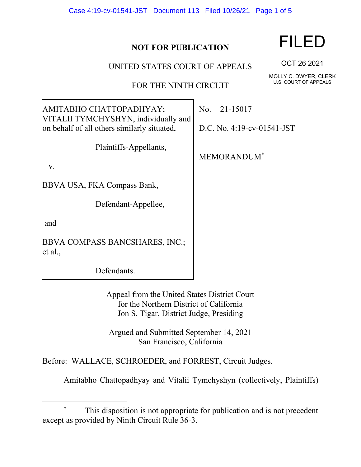| Case 4:19-cv-01541-JST Document 113 Filed 10/26/21 Page 1 of 5 |  |  |  |
|----------------------------------------------------------------|--|--|--|
|----------------------------------------------------------------|--|--|--|

## **NOT FOR PUBLICATION**

UNITED STATES COURT OF APPEALS

FOR THE NINTH CIRCUIT

No. 21-15017

D.C. No. 4:19-cv-01541-JST

MEMORANDUM\*

v.

BBVA USA, FKA Compass Bank,

AMITABHO CHATTOPADHYAY;

on behalf of all others similarly situated,

VITALII TYMCHYSHYN, individually and

Defendant-Appellee,

Plaintiffs-Appellants,

and

BBVA COMPASS BANCSHARES, INC.; et al.,

Defendants.

Appeal from the United States District Court for the Northern District of California Jon S. Tigar, District Judge, Presiding

Argued and Submitted September 14, 2021 San Francisco, California

Before: WALLACE, SCHROEDER, and FORREST, Circuit Judges.

Amitabho Chattopadhyay and Vitalii Tymchyshyn (collectively, Plaintiffs)

## FILED

OCT 26 2021

MOLLY C. DWYER, CLERK U.S. COURT OF APPEALS

This disposition is not appropriate for publication and is not precedent except as provided by Ninth Circuit Rule 36-3.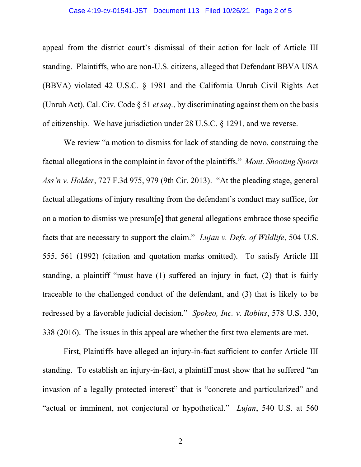## Case 4:19-cv-01541-JST Document 113 Filed 10/26/21 Page 2 of 5

appeal from the district court's dismissal of their action for lack of Article III standing. Plaintiffs, who are non-U.S. citizens, alleged that Defendant BBVA USA (BBVA) violated 42 U.S.C. § 1981 and the California Unruh Civil Rights Act (Unruh Act), Cal. Civ. Code § 51 *et seq.*, by discriminating against them on the basis of citizenship. We have jurisdiction under 28 U.S.C. § 1291, and we reverse.

We review "a motion to dismiss for lack of standing de novo, construing the factual allegations in the complaint in favor of the plaintiffs." *Mont. Shooting Sports Ass'n v. Holder*, 727 F.3d 975, 979 (9th Cir. 2013). "At the pleading stage, general factual allegations of injury resulting from the defendant's conduct may suffice, for on a motion to dismiss we presum[e] that general allegations embrace those specific facts that are necessary to support the claim." *Lujan v. Defs. of Wildlife*, 504 U.S. 555, 561 (1992) (citation and quotation marks omitted). To satisfy Article III standing, a plaintiff "must have (1) suffered an injury in fact, (2) that is fairly traceable to the challenged conduct of the defendant, and (3) that is likely to be redressed by a favorable judicial decision." *Spokeo, Inc. v. Robins*, 578 U.S. 330, 338 (2016). The issues in this appeal are whether the first two elements are met.

First, Plaintiffs have alleged an injury-in-fact sufficient to confer Article III standing. To establish an injury-in-fact, a plaintiff must show that he suffered "an invasion of a legally protected interest" that is "concrete and particularized" and "actual or imminent, not conjectural or hypothetical." *Lujan*, 540 U.S. at 560

2 a set of  $\sim$  2 a set of  $\sim$  2 a set of  $\sim$  2 a set of  $\sim$  3 a set of  $\sim$  3 a set of  $\sim$  3 a set of  $\sim$  3 a set of  $\sim$  3 a set of  $\sim$  3 a set of  $\sim$  3 a set of  $\sim$  3 a set of  $\sim$  3 a set of  $\sim$  3 a set of  $\sim$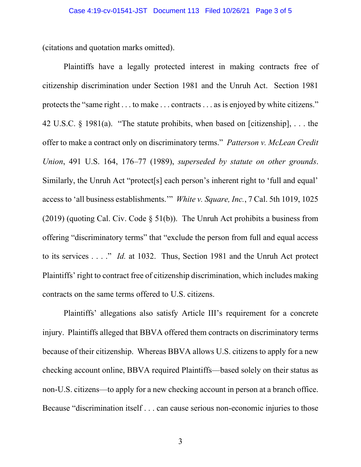(citations and quotation marks omitted).

Plaintiffs have a legally protected interest in making contracts free of citizenship discrimination under Section 1981 and the Unruh Act. Section 1981 protects the "same right . . . to make . . . contracts . . . as is enjoyed by white citizens." 42 U.S.C. § 1981(a). "The statute prohibits, when based on [citizenship],  $\dots$  the offer to make a contract only on discriminatory terms." *Patterson v. McLean Credit Union*, 491 U.S. 164, 176–77 (1989), *superseded by statute on other grounds*. Similarly, the Unruh Act "protect[s] each person's inherent right to 'full and equal' access to 'all business establishments.'" *White v. Square, Inc.*, 7 Cal. 5th 1019, 1025 (2019) (quoting Cal. Civ. Code § 51(b)). The Unruh Act prohibits a business from offering "discriminatory terms" that "exclude the person from full and equal access to its services . . . ." *Id.* at 1032. Thus, Section 1981 and the Unruh Act protect Plaintiffs' right to contract free of citizenship discrimination, which includes making contracts on the same terms offered to U.S. citizens.

Plaintiffs' allegations also satisfy Article III's requirement for a concrete injury. Plaintiffs alleged that BBVA offered them contracts on discriminatory terms because of their citizenship. Whereas BBVA allows U.S. citizens to apply for a new checking account online, BBVA required Plaintiffs––based solely on their status as non-U.S. citizens––to apply for a new checking account in person at a branch office. Because "discrimination itself . . . can cause serious non-economic injuries to those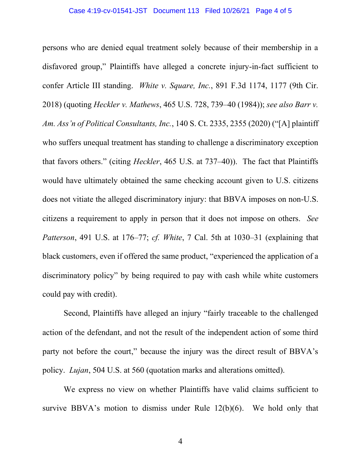persons who are denied equal treatment solely because of their membership in a disfavored group," Plaintiffs have alleged a concrete injury-in-fact sufficient to confer Article III standing. *White v. Square, Inc.*, 891 F.3d 1174, 1177 (9th Cir. 2018) (quoting *Heckler v. Mathews*, 465 U.S. 728, 739–40 (1984)); *see also Barr v. Am. Ass'n of Political Consultants, Inc.*, 140 S. Ct. 2335, 2355 (2020) ("[A] plaintiff who suffers unequal treatment has standing to challenge a discriminatory exception that favors others." (citing *Heckler*, 465 U.S. at 737–40)). The fact that Plaintiffs would have ultimately obtained the same checking account given to U.S. citizens does not vitiate the alleged discriminatory injury: that BBVA imposes on non-U.S. citizens a requirement to apply in person that it does not impose on others. *See Patterson*, 491 U.S. at 176–77; *cf. White*, 7 Cal. 5th at 1030–31 (explaining that black customers, even if offered the same product, "experienced the application of a discriminatory policy" by being required to pay with cash while white customers could pay with credit).

Second, Plaintiffs have alleged an injury "fairly traceable to the challenged action of the defendant, and not the result of the independent action of some third party not before the court," because the injury was the direct result of BBVA's policy. *Lujan*, 504 U.S. at 560 (quotation marks and alterations omitted).

We express no view on whether Plaintiffs have valid claims sufficient to survive BBVA's motion to dismiss under Rule 12(b)(6). We hold only that